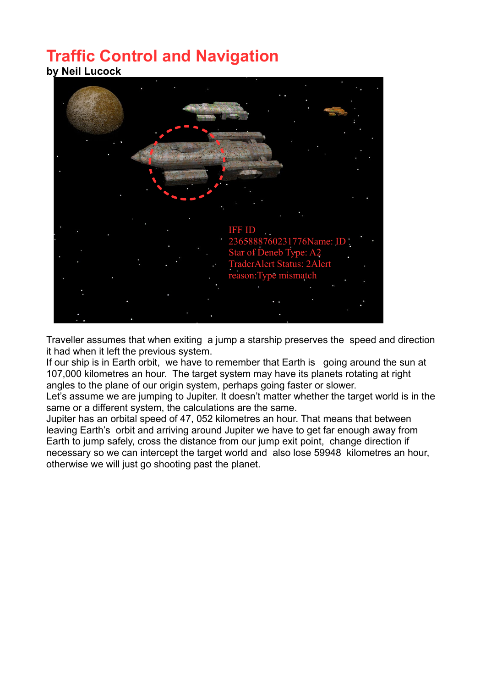## **Traffic Control and Navigation by Neil Lucock**



Traveller assumes that when exiting a jump a starship preserves the speed and direction it had when it left the previous system.

If our ship is in Earth orbit, we have to remember that Earth is going around the sun at 107,000 kilometres an hour. The target system may have its planets rotating at right angles to the plane of our origin system, perhaps going faster or slower.

Let's assume we are jumping to Jupiter. It doesn't matter whether the target world is in the same or a different system, the calculations are the same.

Jupiter has an orbital speed of 47, 052 kilometres an hour. That means that between leaving Earth's orbit and arriving around Jupiter we have to get far enough away from Earth to jump safely, cross the distance from our jump exit point, change direction if necessary so we can intercept the target world and also lose 59948 kilometres an hour, otherwise we will just go shooting past the planet.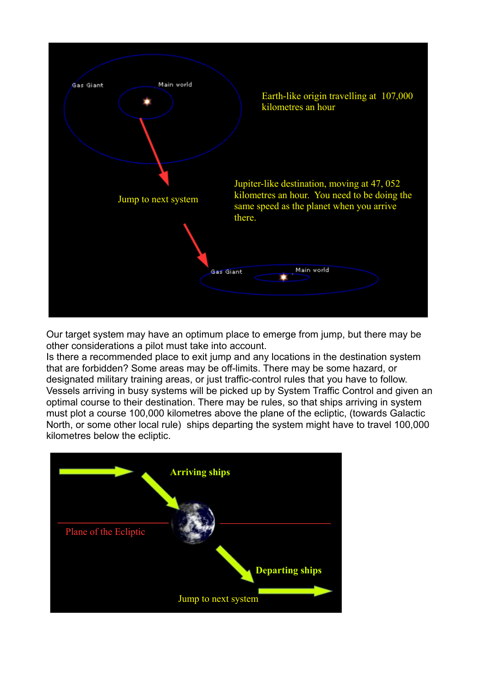

Our target system may have an optimum place to emerge from jump, but there may be other considerations a pilot must take into account.

Is there a recommended place to exit jump and any locations in the destination system that are forbidden? Some areas may be off-limits. There may be some hazard, or designated military training areas, or just traffic-control rules that you have to follow. Vessels arriving in busy systems will be picked up by System Traffic Control and given an optimal course to their destination. There may be rules, so that ships arriving in system must plot a course 100,000 kilometres above the plane of the ecliptic, (towards Galactic North, or some other local rule) ships departing the system might have to travel 100,000 kilometres below the ecliptic.

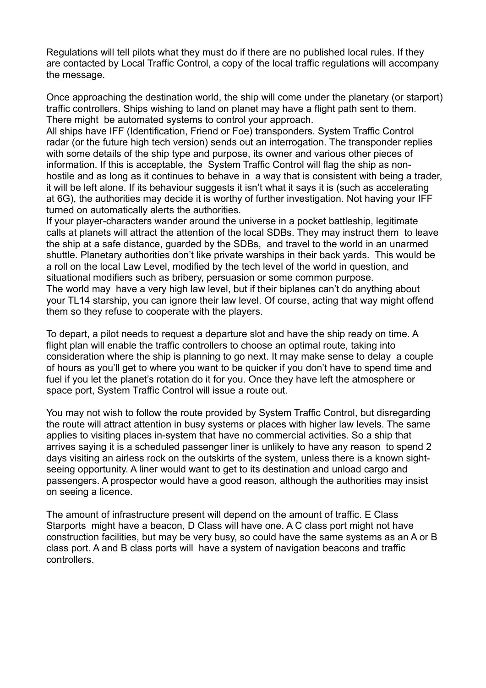Regulations will tell pilots what they must do if there are no published local rules. If they are contacted by Local Traffic Control, a copy of the local traffic regulations will accompany the message.

Once approaching the destination world, the ship will come under the planetary (or starport) traffic controllers. Ships wishing to land on planet may have a flight path sent to them. There might be automated systems to control your approach.

All ships have IFF (Identification, Friend or Foe) transponders. System Traffic Control radar (or the future high tech version) sends out an interrogation. The transponder replies with some details of the ship type and purpose, its owner and various other pieces of information. If this is acceptable, the System Traffic Control will flag the ship as nonhostile and as long as it continues to behave in a way that is consistent with being a trader, it will be left alone. If its behaviour suggests it isn't what it says it is (such as accelerating at 6G), the authorities may decide it is worthy of further investigation. Not having your IFF turned on automatically alerts the authorities.

If your player-characters wander around the universe in a pocket battleship, legitimate calls at planets will attract the attention of the local SDBs. They may instruct them to leave the ship at a safe distance, guarded by the SDBs, and travel to the world in an unarmed shuttle. Planetary authorities don't like private warships in their back yards. This would be a roll on the local Law Level, modified by the tech level of the world in question, and situational modifiers such as bribery, persuasion or some common purpose. The world may have a very high law level, but if their biplanes can't do anything about your TL14 starship, you can ignore their law level. Of course, acting that way might offend them so they refuse to cooperate with the players.

To depart, a pilot needs to request a departure slot and have the ship ready on time. A flight plan will enable the traffic controllers to choose an optimal route, taking into consideration where the ship is planning to go next. It may make sense to delay a couple of hours as you'll get to where you want to be quicker if you don't have to spend time and fuel if you let the planet's rotation do it for you. Once they have left the atmosphere or space port, System Traffic Control will issue a route out.

You may not wish to follow the route provided by System Traffic Control, but disregarding the route will attract attention in busy systems or places with higher law levels. The same applies to visiting places in-system that have no commercial activities. So a ship that arrives saying it is a scheduled passenger liner is unlikely to have any reason to spend 2 days visiting an airless rock on the outskirts of the system, unless there is a known sightseeing opportunity. A liner would want to get to its destination and unload cargo and passengers. A prospector would have a good reason, although the authorities may insist on seeing a licence.

The amount of infrastructure present will depend on the amount of traffic. E Class Starports might have a beacon, D Class will have one. A C class port might not have construction facilities, but may be very busy, so could have the same systems as an A or B class port. A and B class ports will have a system of navigation beacons and traffic controllers.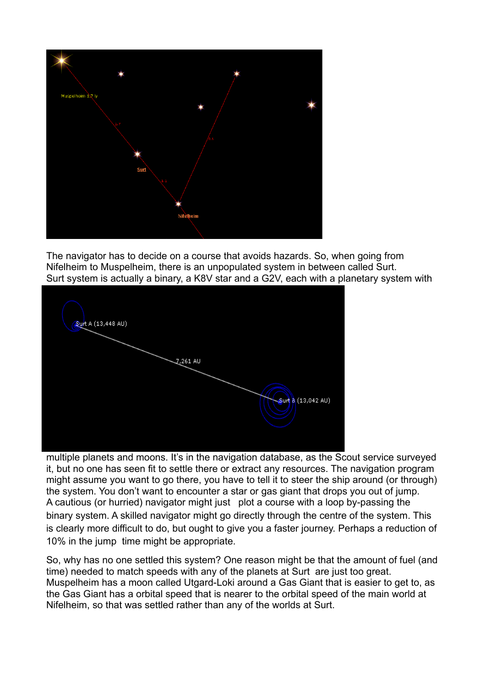

The navigator has to decide on a course that avoids hazards. So, when going from Nifelheim to Muspelheim, there is an unpopulated system in between called Surt. Surt system is actually a binary, a K8V star and a G2V, each with a planetary system with



multiple planets and moons. It's in the navigation database, as the Scout service surveyed it, but no one has seen fit to settle there or extract any resources. The navigation program might assume you want to go there, you have to tell it to steer the ship around (or through) the system. You don't want to encounter a star or gas giant that drops you out of jump. A cautious (or hurried) navigator might just plot a course with a loop by-passing the binary system. A skilled navigator might go directly through the centre of the system. This is clearly more difficult to do, but ought to give you a faster journey. Perhaps a reduction of 10% in the jump time might be appropriate.

So, why has no one settled this system? One reason might be that the amount of fuel (and time) needed to match speeds with any of the planets at Surt are just too great. Muspelheim has a moon called Utgard-Loki around a Gas Giant that is easier to get to, as the Gas Giant has a orbital speed that is nearer to the orbital speed of the main world at Nifelheim, so that was settled rather than any of the worlds at Surt.